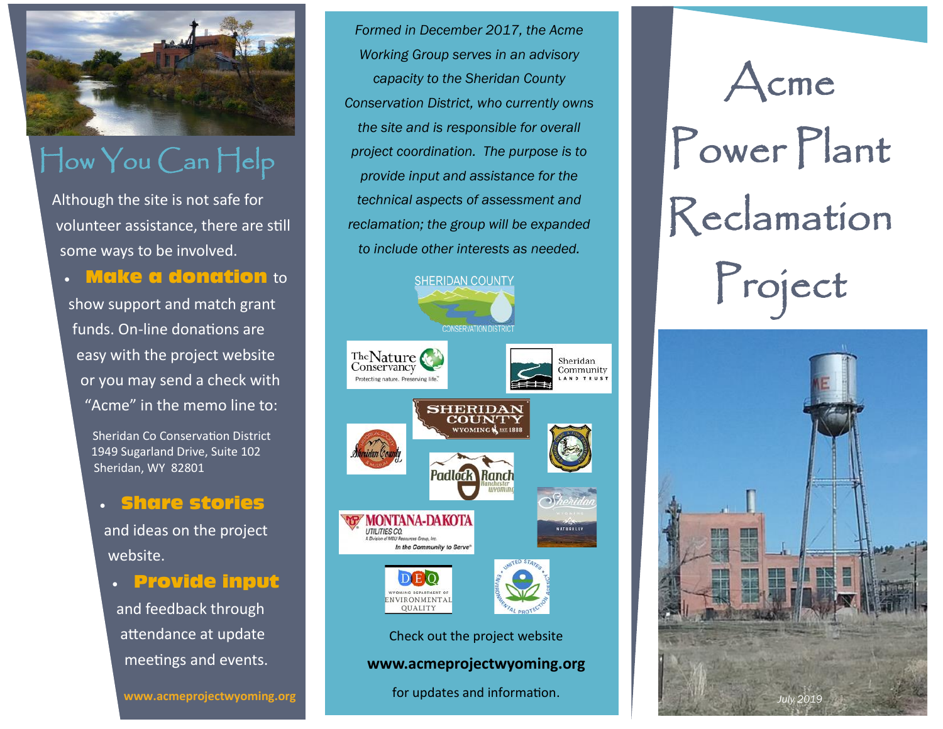

## How You Can Help

Although the site is not safe for volunteer assistance, there are still some ways to be involved.

**Make a donation** to

show support and match grant funds. On-line donations are easy with the project website or you may send a check with "Acme" in the memo line to:

> Sheridan Co Conservation District 1949 Sugarland Drive, Suite 102 Sheridan, WY 82801

### • Share stories

and ideas on the project website.

• Provide input

and feedback through attendance at update meetings and events.

*Formed in December 2017, the Acme Working Group serves in an advisory capacity to the Sheridan County Conservation District, who currently owns the site and is responsible for overall project coordination. The purpose is to provide input and assistance for the technical aspects of assessment and reclamation; the group will be expanded to include other interests as needed.*



#### **www.acmeprojectwyoming.org**

www.acmeprojectwyoming.org *July 2019 July 2019* for updates and information.



# Power Plant Reclamation Project